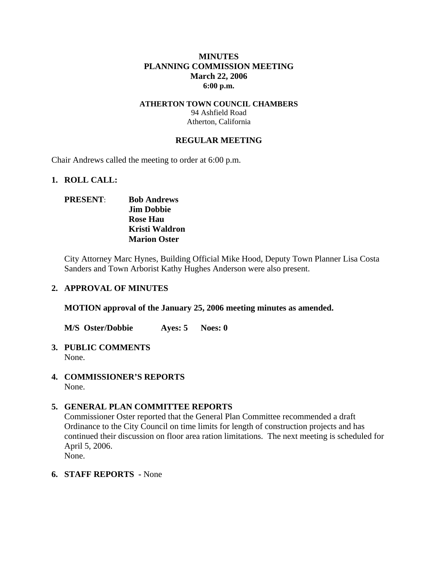## **MINUTES PLANNING COMMISSION MEETING March 22, 2006 6:00 p.m.**

## **ATHERTON TOWN COUNCIL CHAMBERS**  94 Ashfield Road Atherton, California

### **REGULAR MEETING**

Chair Andrews called the meeting to order at 6:00 p.m.

#### **1. ROLL CALL:**

## **PRESENT**: **Bob Andrews Jim Dobbie Rose Hau Kristi Waldron Marion Oster**

City Attorney Marc Hynes, Building Official Mike Hood, Deputy Town Planner Lisa Costa Sanders and Town Arborist Kathy Hughes Anderson were also present.

## **2. APPROVAL OF MINUTES**

**MOTION approval of the January 25, 2006 meeting minutes as amended.** 

**M/S Oster/Dobbie Ayes: 5 Noes: 0** 

#### **3. PUBLIC COMMENTS**  None.

**4. COMMISSIONER'S REPORTS**  None.

## **5. GENERAL PLAN COMMITTEE REPORTS**

Commissioner Oster reported that the General Plan Committee recommended a draft Ordinance to the City Council on time limits for length of construction projects and has continued their discussion on floor area ration limitations. The next meeting is scheduled for April 5, 2006.

None.

## **6. STAFF REPORTS -** None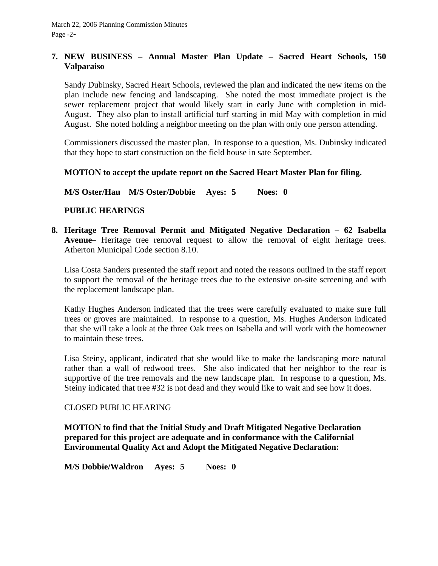## **7. NEW BUSINESS – Annual Master Plan Update – Sacred Heart Schools, 150 Valparaiso**

Sandy Dubinsky, Sacred Heart Schools, reviewed the plan and indicated the new items on the plan include new fencing and landscaping. She noted the most immediate project is the sewer replacement project that would likely start in early June with completion in mid-August. They also plan to install artificial turf starting in mid May with completion in mid August. She noted holding a neighbor meeting on the plan with only one person attending.

Commissioners discussed the master plan. In response to a question, Ms. Dubinsky indicated that they hope to start construction on the field house in sate September.

## **MOTION to accept the update report on the Sacred Heart Master Plan for filing.**

**M/S Oster/Hau M/S Oster/Dobbie Ayes: 5 Noes: 0** 

## **PUBLIC HEARINGS**

**8. Heritage Tree Removal Permit and Mitigated Negative Declaration – 62 Isabella Avenue**– Heritage tree removal request to allow the removal of eight heritage trees. Atherton Municipal Code section 8.10.

Lisa Costa Sanders presented the staff report and noted the reasons outlined in the staff report to support the removal of the heritage trees due to the extensive on-site screening and with the replacement landscape plan.

Kathy Hughes Anderson indicated that the trees were carefully evaluated to make sure full trees or groves are maintained. In response to a question, Ms. Hughes Anderson indicated that she will take a look at the three Oak trees on Isabella and will work with the homeowner to maintain these trees.

Lisa Steiny, applicant, indicated that she would like to make the landscaping more natural rather than a wall of redwood trees. She also indicated that her neighbor to the rear is supportive of the tree removals and the new landscape plan. In response to a question, Ms. Steiny indicated that tree #32 is not dead and they would like to wait and see how it does.

## CLOSED PUBLIC HEARING

**MOTION to find that the Initial Study and Draft Mitigated Negative Declaration prepared for this project are adequate and in conformance with the Californial Environmental Quality Act and Adopt the Mitigated Negative Declaration:** 

**M/S Dobbie/Waldron Ayes: 5 Noes: 0**